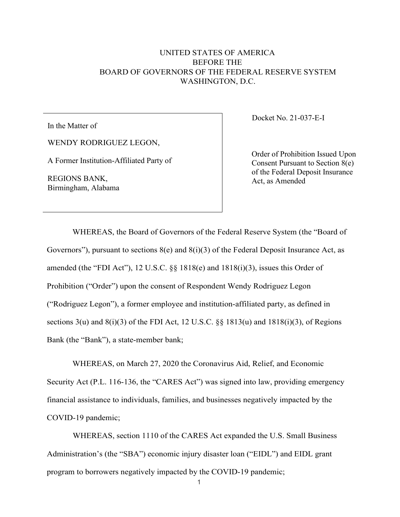## UNITED STATES OF AMERICA BEFORE THE BOARD OF GOVERNORS OF THE FEDERAL RESERVE SYSTEM WASHINGTON, D.C.

In the Matter of

WENDY RODRIGUEZ LEGON,

A Former Institution-Affiliated Party of

REGIONS BANK, Birmingham, Alabama Docket No. 21-037-E-I

Order of Prohibition Issued Upon Consent Pursuant to Section 8(e) of the Federal Deposit Insurance Act, as Amended

WHEREAS, the Board of Governors of the Federal Reserve System (the "Board of Governors"), pursuant to sections  $8(e)$  and  $8(i)(3)$  of the Federal Deposit Insurance Act, as amended (the "FDI Act"), 12 U.S.C. §§ 1818(e) and 1818(i)(3), issues this Order of Prohibition ("Order") upon the consent of Respondent Wendy Rodriguez Legon ("Rodriguez Legon"), a former employee and institution-affiliated party, as defined in sections  $3(u)$  and  $8(i)(3)$  of the FDI Act, 12 U.S.C. §§ 1813(u) and 1818(i)(3), of Regions Bank (the "Bank"), a state-member bank;

WHEREAS, on March 27, 2020 the Coronavirus Aid, Relief, and Economic Security Act (P.L. 116-136, the "CARES Act") was signed into law, providing emergency financial assistance to individuals, families, and businesses negatively impacted by the COVID-19 pandemic;

WHEREAS, section 1110 of the CARES Act expanded the U.S. Small Business Administration's (the "SBA") economic injury disaster loan ("EIDL") and EIDL grant program to borrowers negatively impacted by the COVID-19 pandemic;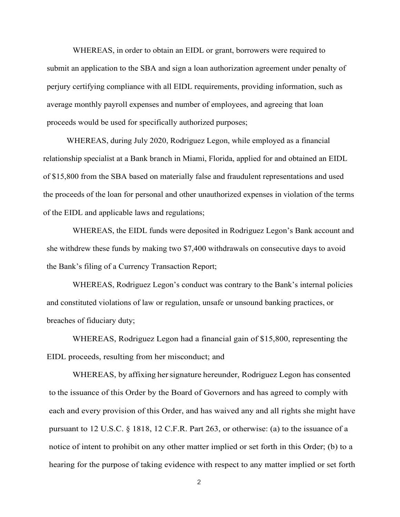WHEREAS, in order to obtain an EIDL or grant, borrowers were required to submit an application to the SBA and sign a loan authorization agreement under penalty of perjury certifying compliance with all EIDL requirements, providing information, such as average monthly payroll expenses and number of employees, and agreeing that loan proceeds would be used for specifically authorized purposes;

WHEREAS, during July 2020, Rodriguez Legon, while employed as a financial relationship specialist at a Bank branch in Miami, Florida, applied for and obtained an EIDL of \$15,800 from the SBA based on materially false and fraudulent representations and used the proceeds of the loan for personal and other unauthorized expenses in violation of the terms of the EIDL and applicable laws and regulations;

WHEREAS, the EIDL funds were deposited in Rodriguez Legon's Bank account and she withdrew these funds by making two \$7,400 withdrawals on consecutive days to avoid the Bank's filing of a Currency Transaction Report;

WHEREAS, Rodriguez Legon's conduct was contrary to the Bank's internal policies and constituted violations of law or regulation, unsafe or unsound banking practices, or breaches of fiduciary duty;

WHEREAS, Rodriguez Legon had a financial gain of \$15,800, representing the EIDL proceeds, resulting from her misconduct; and

WHEREAS, by affixing her signature hereunder, Rodriguez Legon has consented to the issuance of this Order by the Board of Governors and has agreed to comply with each and every provision of this Order, and has waived any and all rights she might have pursuant to 12 U.S.C. § 1818, 12 C.F.R. Part 263, or otherwise: (a) to the issuance of a notice of intent to prohibit on any other matter implied or set forth in this Order; (b) to a hearing for the purpose of taking evidence with respect to any matter implied or set forth

2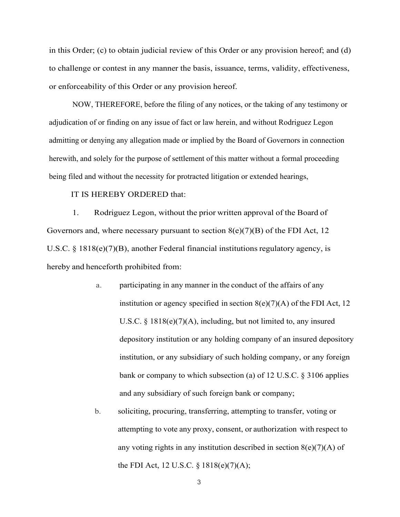in this Order; (c) to obtain judicial review of this Order or any provision hereof; and (d) to challenge or contest in any manner the basis, issuance, terms, validity, effectiveness, or enforceability of this Order or any provision hereof.

NOW, THEREFORE, before the filing of any notices, or the taking of any testimony or adjudication of or finding on any issue of fact or law herein, and without Rodriguez Legon admitting or denying any allegation made or implied by the Board of Governors in connection herewith, and solely for the purpose of settlement of this matter without a formal proceeding being filed and without the necessity for protracted litigation or extended hearings,

## IT IS HEREBY ORDERED that:

1. Rodriguez Legon, without the prior written approval of the Board of Governors and, where necessary pursuant to section  $8(e)(7)(B)$  of the FDI Act, 12 U.S.C. § 1818(e)(7)(B), another Federal financial institutions regulatory agency, is hereby and henceforth prohibited from:

- a. participating in any manner in the conduct of the affairs of any institution or agency specified in section  $8(e)(7)(A)$  of the FDI Act, 12 U.S.C. § 1818(e)(7)(A), including, but not limited to, any insured depository institution or any holding company of an insured depository institution, or any subsidiary of such holding company, or any foreign bank or company to which subsection (a) of 12 U.S.C. § 3106 applies and any subsidiary of such foreign bank or company;
- b. soliciting, procuring, transferring, attempting to transfer, voting or attempting to vote any proxy, consent, or authorization with respect to any voting rights in any institution described in section  $8(e)(7)(A)$  of the FDI Act, 12 U.S.C. § 1818(e)(7)(A);

3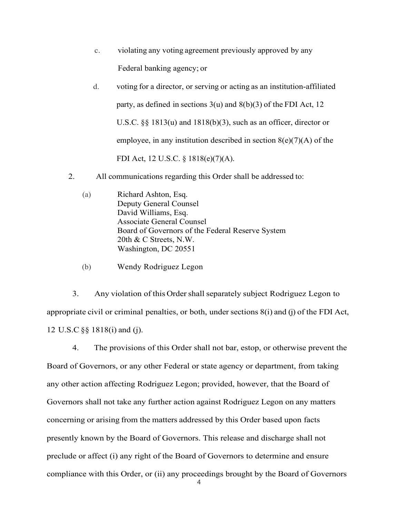- c. violating any voting agreement previously approved by any Federal banking agency; or
- d. voting for a director, or serving or acting as an institution-affiliated party, as defined in sections 3(u) and 8(b)(3) of the FDI Act, 12 U.S.C. §§ 1813(u) and 1818(b)(3), such as an officer, director or employee, in any institution described in section  $8(e)(7)(A)$  of the FDI Act, 12 U.S.C. § 1818(e)(7)(A).
- 2. All communications regarding this Order shall be addressed to:
	- (a) Richard Ashton, Esq. Deputy General Counsel David Williams, Esq. Associate General Counsel Board of Governors of the Federal Reserve System 20th & C Streets, N.W. Washington, DC 20551
	- (b) Wendy Rodriguez Legon

3. Any violation of this Ordershall separately subject Rodriguez Legon to appropriate civil or criminal penalties, or both, under sections 8(i) and (j) of the FDI Act, 12 U.S.C §§ 1818(i) and (j).

4 4. The provisions of this Order shall not bar, estop, or otherwise prevent the Board of Governors, or any other Federal or state agency or department, from taking any other action affecting Rodriguez Legon; provided, however, that the Board of Governors shall not take any further action against Rodriguez Legon on any matters concerning or arising from the matters addressed by this Order based upon facts presently known by the Board of Governors. This release and discharge shall not preclude or affect (i) any right of the Board of Governors to determine and ensure compliance with this Order, or (ii) any proceedings brought by the Board of Governors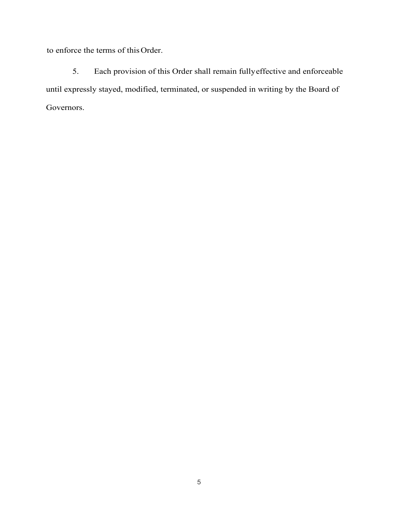to enforce the terms of this Order.

5. Each provision of this Order shall remain fullyeffective and enforceable until expressly stayed, modified, terminated, or suspended in writing by the Board of Governors.